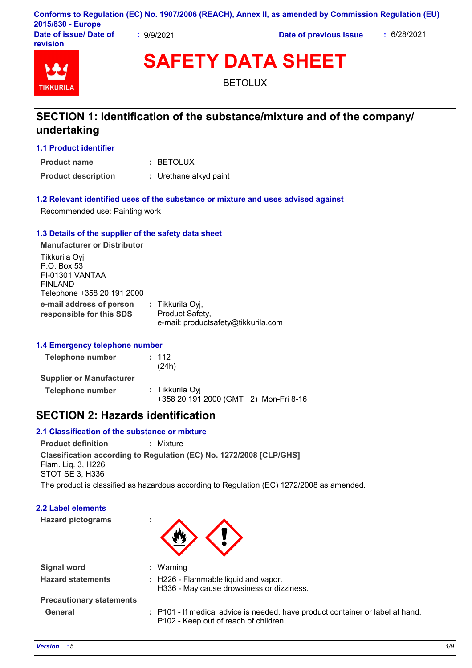|                        |          | Conforms to Regulation (EC) No. 1907/2006 (REACH), Annex II, as amended by Commission Regulation (EU) |             |
|------------------------|----------|-------------------------------------------------------------------------------------------------------|-------------|
| 2015/830 - Europe      |          |                                                                                                       |             |
| Date of issue/ Date of | 9/9/2021 | Date of previous issue                                                                                | : 6/28/2021 |

**revision**



**SAFETY DATA SHEET**

BETOLUX

## **SECTION 1: Identification of the substance/mixture and of the company/ undertaking**

#### **1.1 Product identifier**

BETOLUX **: Product name**

**Product description :** Urethane alkyd paint

#### **1.2 Relevant identified uses of the substance or mixture and uses advised against**

Recommended use: Painting work

#### **1.3 Details of the supplier of the safety data sheet**

**e-mail address of person responsible for this SDS :** Tikkurila Oyj, Product Safety, e-mail: productsafety@tikkurila.com **Manufacturer or Distributor** Tikkurila Oyj P.O. Box 53 FI-01301 VANTAA FINLAND Telephone +358 20 191 2000

#### **1.4 Emergency telephone number**

| Telephone number                | : 112<br>(24h)                                            |
|---------------------------------|-----------------------------------------------------------|
| <b>Supplier or Manufacturer</b> |                                                           |
| Telephone number                | : Tikkurila Oyi<br>+358 20 191 2000 (GMT +2) Mon-Fri 8-16 |

## **SECTION 2: Hazards identification**

### **2.1 Classification of the substance or mixture**

**Classification according to Regulation (EC) No. 1272/2008 [CLP/GHS] Product definition :** Mixture Flam. Liq. 3, H226 STOT SE 3, H336

The product is classified as hazardous according to Regulation (EC) 1272/2008 as amended.

#### **2.2 Label elements**

| <b>Hazard pictograms</b> |  |
|--------------------------|--|



| <b>Signal word</b>              | : Warning                                                                                                               |
|---------------------------------|-------------------------------------------------------------------------------------------------------------------------|
| <b>Hazard statements</b>        | : H226 - Flammable liquid and vapor.<br>H336 - May cause drowsiness or dizziness.                                       |
| <b>Precautionary statements</b> |                                                                                                                         |
| <b>General</b>                  | : P101 - If medical advice is needed, have product container or label at hand.<br>P102 - Keep out of reach of children. |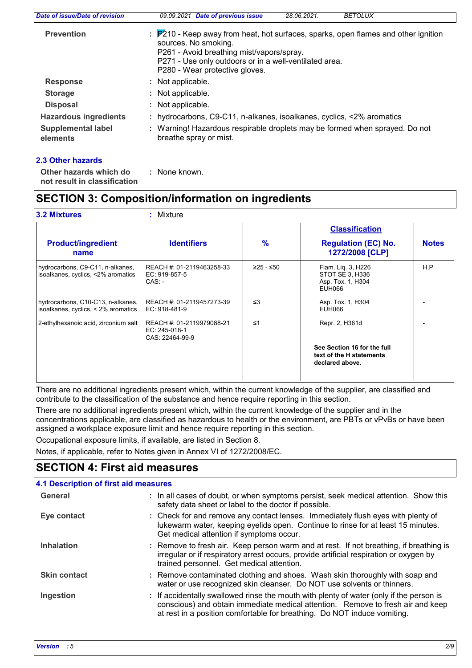| Date of issue/Date of revision        | 09.09.2021 Date of previous issue<br><b>BETOLUX</b><br>28.06.2021.                                                                                                                                                                                  |
|---------------------------------------|-----------------------------------------------------------------------------------------------------------------------------------------------------------------------------------------------------------------------------------------------------|
| <b>Prevention</b>                     | : P210 - Keep away from heat, hot surfaces, sparks, open flames and other ignition<br>sources. No smoking.<br>P261 - Avoid breathing mist/vapors/spray.<br>P271 - Use only outdoors or in a well-ventilated area.<br>P280 - Wear protective gloves. |
| <b>Response</b>                       | : Not applicable.                                                                                                                                                                                                                                   |
| <b>Storage</b>                        | : Not applicable.                                                                                                                                                                                                                                   |
| <b>Disposal</b>                       | : Not applicable.                                                                                                                                                                                                                                   |
| <b>Hazardous ingredients</b>          | : hydrocarbons, C9-C11, n-alkanes, isoalkanes, cyclics, <2% aromatics                                                                                                                                                                               |
| <b>Supplemental label</b><br>elements | : Warning! Hazardous respirable droplets may be formed when sprayed. Do not<br>breathe spray or mist.                                                                                                                                               |

#### **2.3 Other hazards**

: None known.

**Other hazards which do : not result in classification**

## **SECTION 3: Composition/information on ingredients**

#### **3.2 Mixtures :** Mixture

|                                                                          |                                                               |               | <b>Classification</b>                                                      |              |
|--------------------------------------------------------------------------|---------------------------------------------------------------|---------------|----------------------------------------------------------------------------|--------------|
| <b>Product/ingredient</b><br>name                                        | <b>Identifiers</b>                                            | $\frac{9}{6}$ | <b>Regulation (EC) No.</b><br>1272/2008 [CLP]                              | <b>Notes</b> |
| hydrocarbons, C9-C11, n-alkanes,<br>isoalkanes, cyclics, <2% aromatics   | REACH #: 01-2119463258-33<br>EC: 919-857-5<br>$CAS: -$        | $≥25 - ≤50$   | Flam. Lig. 3, H226<br>STOT SE 3, H336<br>Asp. Tox. 1, H304<br>EUH066       | H, P         |
| hydrocarbons, C10-C13, n-alkanes,<br>isoalkanes, cyclics, < 2% aromatics | REACH #: 01-2119457273-39<br>EC: 918-481-9                    | $\leq$ 3      | Asp. Tox. 1, H304<br>EUH066                                                |              |
| 2-ethylhexanoic acid, zirconium salt                                     | REACH #: 01-2119979088-21<br>EC: 245-018-1<br>CAS: 22464-99-9 | $\leq 1$      | Repr. 2, H361d                                                             |              |
|                                                                          |                                                               |               | See Section 16 for the full<br>text of the H statements<br>declared above. |              |

There are no additional ingredients present which, within the current knowledge of the supplier, are classified and contribute to the classification of the substance and hence require reporting in this section.

There are no additional ingredients present which, within the current knowledge of the supplier and in the concentrations applicable, are classified as hazardous to health or the environment, are PBTs or vPvBs or have been assigned a workplace exposure limit and hence require reporting in this section.

Occupational exposure limits, if available, are listed in Section 8.

Notes, if applicable, refer to Notes given in Annex VI of 1272/2008/EC.

## **SECTION 4: First aid measures**

| 4.1 Description of first aid measures |                                                                                                                                                                                                                                                        |
|---------------------------------------|--------------------------------------------------------------------------------------------------------------------------------------------------------------------------------------------------------------------------------------------------------|
| General                               | : In all cases of doubt, or when symptoms persist, seek medical attention. Show this<br>safety data sheet or label to the doctor if possible.                                                                                                          |
| Eye contact                           | : Check for and remove any contact lenses. Immediately flush eyes with plenty of<br>lukewarm water, keeping eyelids open. Continue to rinse for at least 15 minutes.<br>Get medical attention if symptoms occur.                                       |
| <b>Inhalation</b>                     | : Remove to fresh air. Keep person warm and at rest. If not breathing, if breathing is<br>irregular or if respiratory arrest occurs, provide artificial respiration or oxygen by<br>trained personnel. Get medical attention.                          |
| <b>Skin contact</b>                   | : Remove contaminated clothing and shoes. Wash skin thoroughly with soap and<br>water or use recognized skin cleanser. Do NOT use solvents or thinners.                                                                                                |
| Ingestion                             | : If accidentally swallowed rinse the mouth with plenty of water (only if the person is<br>conscious) and obtain immediate medical attention. Remove to fresh air and keep<br>at rest in a position comfortable for breathing. Do NOT induce vomiting. |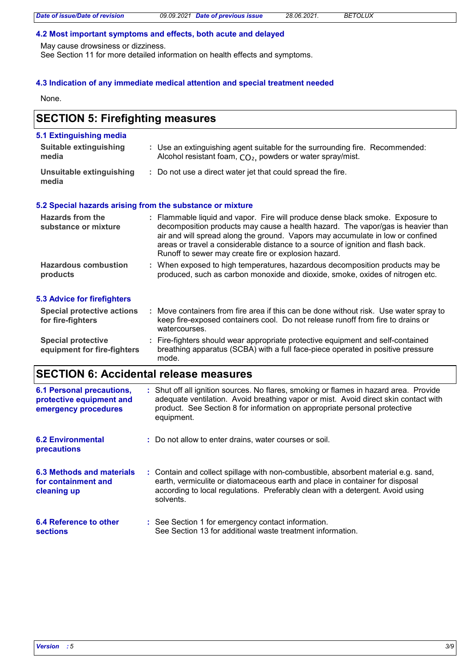#### **4.2 Most important symptoms and effects, both acute and delayed**

May cause drowsiness or dizziness.

See Section 11 for more detailed information on health effects and symptoms.

### **4.3 Indication of any immediate medical attention and special treatment needed**

None.

## **SECTION 5: Firefighting measures**

| 5.1 Extinguishing media                  |                                                                                                                                                                                                                                                                                                                                                                                                |
|------------------------------------------|------------------------------------------------------------------------------------------------------------------------------------------------------------------------------------------------------------------------------------------------------------------------------------------------------------------------------------------------------------------------------------------------|
| Suitable extinguishing<br>media          | : Use an extinguishing agent suitable for the surrounding fire. Recommended:<br>Alcohol resistant foam, CO <sub>2</sub> , powders or water spray/mist.                                                                                                                                                                                                                                         |
| Unsuitable extinguishing<br>media        | : Do not use a direct water jet that could spread the fire.                                                                                                                                                                                                                                                                                                                                    |
|                                          | 5.2 Special hazards arising from the substance or mixture                                                                                                                                                                                                                                                                                                                                      |
| Hazards from the<br>substance or mixture | : Flammable liquid and vapor. Fire will produce dense black smoke. Exposure to<br>decomposition products may cause a health hazard. The vapor/gas is heavier than<br>air and will spread along the ground. Vapors may accumulate in low or confined<br>areas or travel a considerable distance to a source of ignition and flash back.<br>Runoff to sewer may create fire or explosion hazard. |
| <b>Hazardous combustion</b><br>products  | : When exposed to high temperatures, hazardous decomposition products may be<br>produced, such as carbon monoxide and dioxide, smoke, oxides of nitrogen etc.                                                                                                                                                                                                                                  |
| E. O. A. Julian Can Charlingham          |                                                                                                                                                                                                                                                                                                                                                                                                |

#### **5.3 Advice for firefighters**

| Special protective actions<br>for fire-fighters          | Move containers from fire area if this can be done without risk. Use water spray to<br>keep fire-exposed containers cool. Do not release runoff from fire to drains or<br>watercourses. |
|----------------------------------------------------------|-----------------------------------------------------------------------------------------------------------------------------------------------------------------------------------------|
| <b>Special protective</b><br>equipment for fire-fighters | : Fire-fighters should wear appropriate protective equipment and self-contained<br>breathing apparatus (SCBA) with a full face-piece operated in positive pressure<br>mode.             |

## **SECTION 6: Accidental release measures**

| <b>6.1 Personal precautions,</b><br>protective equipment and<br>emergency procedures | : Shut off all ignition sources. No flares, smoking or flames in hazard area. Provide<br>adequate ventilation. Avoid breathing vapor or mist. Avoid direct skin contact with<br>product. See Section 8 for information on appropriate personal protective<br>equipment. |
|--------------------------------------------------------------------------------------|-------------------------------------------------------------------------------------------------------------------------------------------------------------------------------------------------------------------------------------------------------------------------|
| <b>6.2 Environmental</b><br>precautions                                              | : Do not allow to enter drains, water courses or soil.                                                                                                                                                                                                                  |
| 6.3 Methods and materials<br>for containment and<br>cleaning up                      | : Contain and collect spillage with non-combustible, absorbent material e.g. sand,<br>earth, vermiculite or diatomaceous earth and place in container for disposal<br>according to local regulations. Preferably clean with a detergent. Avoid using<br>solvents.       |
| 6.4 Reference to other<br><b>sections</b>                                            | : See Section 1 for emergency contact information.<br>See Section 13 for additional waste treatment information.                                                                                                                                                        |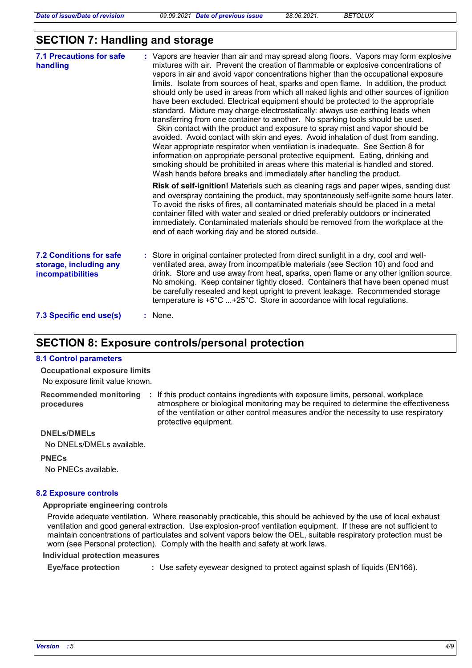## **SECTION 7: Handling and storage**

| <b>7.1 Precautions for safe</b><br>handling                                   | : Vapors are heavier than air and may spread along floors. Vapors may form explosive<br>mixtures with air. Prevent the creation of flammable or explosive concentrations of<br>vapors in air and avoid vapor concentrations higher than the occupational exposure<br>limits. Isolate from sources of heat, sparks and open flame. In addition, the product<br>should only be used in areas from which all naked lights and other sources of ignition<br>have been excluded. Electrical equipment should be protected to the appropriate<br>standard. Mixture may charge electrostatically: always use earthing leads when<br>transferring from one container to another. No sparking tools should be used.<br>Skin contact with the product and exposure to spray mist and vapor should be<br>avoided. Avoid contact with skin and eyes. Avoid inhalation of dust from sanding.<br>Wear appropriate respirator when ventilation is inadequate. See Section 8 for<br>information on appropriate personal protective equipment. Eating, drinking and<br>smoking should be prohibited in areas where this material is handled and stored.<br>Wash hands before breaks and immediately after handling the product. |
|-------------------------------------------------------------------------------|----------------------------------------------------------------------------------------------------------------------------------------------------------------------------------------------------------------------------------------------------------------------------------------------------------------------------------------------------------------------------------------------------------------------------------------------------------------------------------------------------------------------------------------------------------------------------------------------------------------------------------------------------------------------------------------------------------------------------------------------------------------------------------------------------------------------------------------------------------------------------------------------------------------------------------------------------------------------------------------------------------------------------------------------------------------------------------------------------------------------------------------------------------------------------------------------------------------|
|                                                                               | <b>Risk of self-ignition!</b> Materials such as cleaning rags and paper wipes, sanding dust<br>and overspray containing the product, may spontaneously self-ignite some hours later.<br>To avoid the risks of fires, all contaminated materials should be placed in a metal<br>container filled with water and sealed or dried preferably outdoors or incinerated<br>immediately. Contaminated materials should be removed from the workplace at the<br>end of each working day and be stored outside.                                                                                                                                                                                                                                                                                                                                                                                                                                                                                                                                                                                                                                                                                                         |
| <b>7.2 Conditions for safe</b><br>storage, including any<br>incompatibilities | : Store in original container protected from direct sunlight in a dry, cool and well-<br>ventilated area, away from incompatible materials (see Section 10) and food and<br>drink. Store and use away from heat, sparks, open flame or any other ignition source.<br>No smoking. Keep container tightly closed. Containers that have been opened must<br>be carefully resealed and kept upright to prevent leakage. Recommended storage<br>temperature is +5°C +25°C. Store in accordance with local regulations.                                                                                                                                                                                                                                                                                                                                                                                                                                                                                                                                                                                                                                                                                              |
| 7.3 Specific end use(s)                                                       | : None.                                                                                                                                                                                                                                                                                                                                                                                                                                                                                                                                                                                                                                                                                                                                                                                                                                                                                                                                                                                                                                                                                                                                                                                                        |

## **SECTION 8: Exposure controls/personal protection**

#### **8.1 Control parameters**

No exposure limit value known. **Occupational exposure limits**

**procedures**

**Recommended monitoring**  If this product contains ingredients with exposure limits, personal, workplace **:** atmosphere or biological monitoring may be required to determine the effectiveness of the ventilation or other control measures and/or the necessity to use respiratory protective equipment.

#### **DNELs/DMELs**

No DNELs/DMELs available.

**PNECs**

No PNECs available.

#### **8.2 Exposure controls**

#### **Appropriate engineering controls**

Provide adequate ventilation. Where reasonably practicable, this should be achieved by the use of local exhaust ventilation and good general extraction. Use explosion-proof ventilation equipment. If these are not sufficient to maintain concentrations of particulates and solvent vapors below the OEL, suitable respiratory protection must be worn (see Personal protection). Comply with the health and safety at work laws.

#### **Individual protection measures**

**Eye/face protection :** Use safety eyewear designed to protect against splash of liquids (EN166).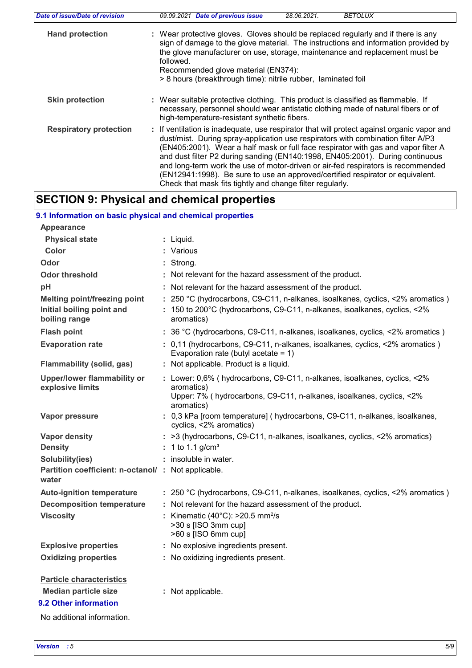| Date of issue/Date of revision | 09.09.2021 Date of previous issue<br>28.06.2021.<br><b>BETOLUX</b>                                                                                                                                                                                                                                                                                                                                                                                                                                                                                                                       |
|--------------------------------|------------------------------------------------------------------------------------------------------------------------------------------------------------------------------------------------------------------------------------------------------------------------------------------------------------------------------------------------------------------------------------------------------------------------------------------------------------------------------------------------------------------------------------------------------------------------------------------|
| <b>Hand protection</b>         | : Wear protective gloves. Gloves should be replaced regularly and if there is any<br>sign of damage to the glove material. The instructions and information provided by<br>the glove manufacturer on use, storage, maintenance and replacement must be<br>followed.<br>Recommended glove material (EN374):<br>> 8 hours (breakthrough time): nitrile rubber, laminated foil                                                                                                                                                                                                              |
| <b>Skin protection</b>         | : Wear suitable protective clothing. This product is classified as flammable. If<br>necessary, personnel should wear antistatic clothing made of natural fibers or of<br>high-temperature-resistant synthetic fibers.                                                                                                                                                                                                                                                                                                                                                                    |
| <b>Respiratory protection</b>  | : If ventilation is inadequate, use respirator that will protect against organic vapor and<br>dust/mist. During spray-application use respirators with combination filter A/P3<br>(EN405:2001). Wear a half mask or full face respirator with gas and vapor filter A<br>and dust filter P2 during sanding (EN140:1998, EN405:2001). During continuous<br>and long-term work the use of motor-driven or air-fed respirators is recommended<br>(EN12941:1998). Be sure to use an approved/certified respirator or equivalent.<br>Check that mask fits tightly and change filter regularly. |

## **SECTION 9: Physical and chemical properties**

## **9.1 Information on basic physical and chemical properties**

| <b>Appearance</b>                                                                                                     |                                                                                                                                                                              |
|-----------------------------------------------------------------------------------------------------------------------|------------------------------------------------------------------------------------------------------------------------------------------------------------------------------|
| <b>Physical state</b>                                                                                                 | : Liquid.                                                                                                                                                                    |
| Color                                                                                                                 | : Various                                                                                                                                                                    |
| Odor                                                                                                                  | : Strona.                                                                                                                                                                    |
| <b>Odor threshold</b>                                                                                                 | : Not relevant for the hazard assessment of the product.                                                                                                                     |
| pH                                                                                                                    | : Not relevant for the hazard assessment of the product.                                                                                                                     |
| <b>Melting point/freezing point</b><br>Initial boiling point and                                                      | : 250 °C (hydrocarbons, C9-C11, n-alkanes, isoalkanes, cyclics, <2% aromatics)<br>: 150 to 200°C (hydrocarbons, C9-C11, n-alkanes, isoalkanes, cyclics, <2%                  |
| boiling range                                                                                                         | aromatics)                                                                                                                                                                   |
| <b>Flash point</b>                                                                                                    | : 36 °C (hydrocarbons, C9-C11, n-alkanes, isoalkanes, cyclics, <2% aromatics)                                                                                                |
| <b>Evaporation rate</b>                                                                                               | : 0,11 (hydrocarbons, C9-C11, n-alkanes, isoalkanes, cyclics, <2% aromatics)<br>Evaporation rate (butyl acetate = $1$ )                                                      |
| <b>Flammability (solid, gas)</b>                                                                                      | : Not applicable. Product is a liquid.                                                                                                                                       |
| <b>Upper/lower flammability or</b><br>explosive limits                                                                | : Lower: 0,6% (hydrocarbons, C9-C11, n-alkanes, isoalkanes, cyclics, <2%<br>aromatics)<br>Upper: 7% (hydrocarbons, C9-C11, n-alkanes, isoalkanes, cyclics, <2%<br>aromatics) |
| Vapor pressure                                                                                                        | : 0,3 kPa [room temperature] ( hydrocarbons, C9-C11, n-alkanes, isoalkanes,<br>cyclics, <2% aromatics)                                                                       |
| <b>Vapor density</b>                                                                                                  | : >3 (hydrocarbons, C9-C11, n-alkanes, isoalkanes, cyclics, <2% aromatics)                                                                                                   |
| <b>Density</b>                                                                                                        | : 1 to 1.1 $g/cm^3$                                                                                                                                                          |
| Solubility(ies)                                                                                                       | : insoluble in water.                                                                                                                                                        |
| Partition coefficient: n-octanol/ : Not applicable.<br>water                                                          |                                                                                                                                                                              |
| <b>Auto-ignition temperature</b>                                                                                      | : 250 °C (hydrocarbons, C9-C11, n-alkanes, isoalkanes, cyclics, <2% aromatics)                                                                                               |
| <b>Decomposition temperature</b>                                                                                      | : Not relevant for the hazard assessment of the product.                                                                                                                     |
| <b>Viscosity</b>                                                                                                      | : Kinematic (40 $^{\circ}$ C): >20.5 mm <sup>2</sup> /s<br>>30 s [ISO 3mm cup]<br>>60 s [ISO 6mm cup]                                                                        |
| <b>Explosive properties</b>                                                                                           | : No explosive ingredients present.                                                                                                                                          |
| <b>Oxidizing properties</b>                                                                                           | : No oxidizing ingredients present.                                                                                                                                          |
| <b>Particle characteristics</b><br><b>Median particle size</b><br>9.2 Other information<br>No additional information. | : Not applicable.                                                                                                                                                            |
|                                                                                                                       |                                                                                                                                                                              |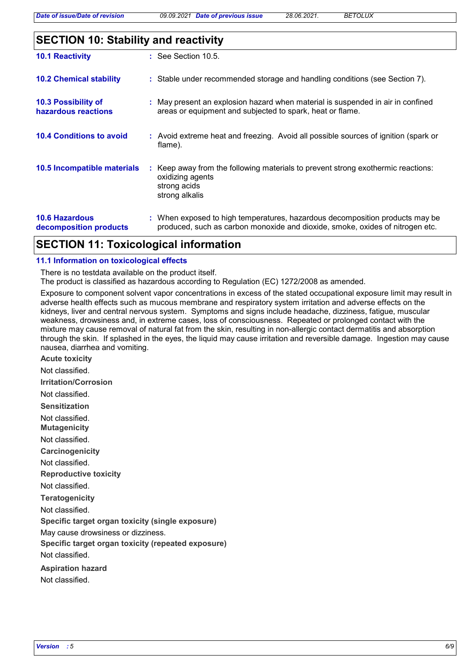| <b>SECTION 10: Stability and reactivity</b> |  |
|---------------------------------------------|--|
|                                             |  |

| <b>10.1 Reactivity</b>                          | $\therefore$ See Section 10.5.                                                                                                                                |
|-------------------------------------------------|---------------------------------------------------------------------------------------------------------------------------------------------------------------|
| <b>10.2 Chemical stability</b>                  | : Stable under recommended storage and handling conditions (see Section 7).                                                                                   |
| 10.3 Possibility of<br>hazardous reactions      | : May present an explosion hazard when material is suspended in air in confined<br>areas or equipment and subjected to spark, heat or flame.                  |
| <b>10.4 Conditions to avoid</b>                 | : Avoid extreme heat and freezing. Avoid all possible sources of ignition (spark or<br>flame).                                                                |
| 10.5 Incompatible materials                     | : Keep away from the following materials to prevent strong exothermic reactions:<br>oxidizing agents<br>strong acids<br>strong alkalis                        |
| <b>10.6 Hazardous</b><br>decomposition products | : When exposed to high temperatures, hazardous decomposition products may be<br>produced, such as carbon monoxide and dioxide, smoke, oxides of nitrogen etc. |

## **SECTION 11: Toxicological information**

#### **11.1 Information on toxicological effects**

There is no testdata available on the product itself.

The product is classified as hazardous according to Regulation (EC) 1272/2008 as amended.

Exposure to component solvent vapor concentrations in excess of the stated occupational exposure limit may result in adverse health effects such as mucous membrane and respiratory system irritation and adverse effects on the kidneys, liver and central nervous system. Symptoms and signs include headache, dizziness, fatigue, muscular weakness, drowsiness and, in extreme cases, loss of consciousness. Repeated or prolonged contact with the mixture may cause removal of natural fat from the skin, resulting in non-allergic contact dermatitis and absorption through the skin. If splashed in the eyes, the liquid may cause irritation and reversible damage. Ingestion may cause nausea, diarrhea and vomiting.

**Acute toxicity Carcinogenicity Mutagenicity Teratogenicity Reproductive toxicity Irritation/Corrosion Sensitization Specific target organ toxicity (single exposure) Specific target organ toxicity (repeated exposure) Aspiration hazard** Not classified. Not classified. Not classified. Not classified. Not classified. Not classified. Not classified. May cause drowsiness or dizziness. Not classified. Not classified.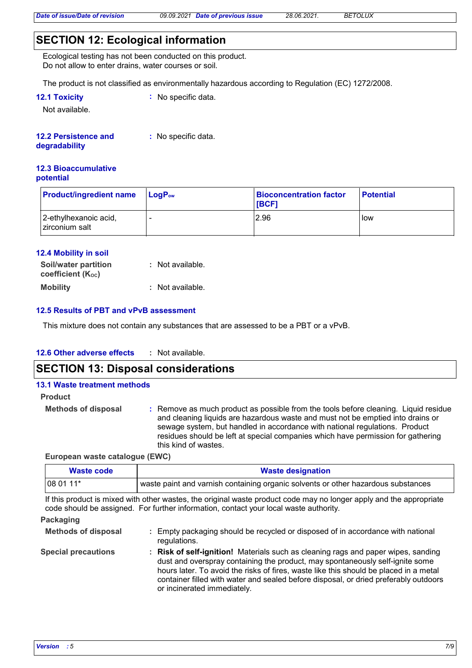## **SECTION 12: Ecological information**

Ecological testing has not been conducted on this product. Do not allow to enter drains, water courses or soil.

The product is not classified as environmentally hazardous according to Regulation (EC) 1272/2008.

| <b>12.1 Toxicity</b> | $\therefore$ No specific data. |
|----------------------|--------------------------------|
|----------------------|--------------------------------|

Not available.

#### **12.2 Persistence and :** No specific data.

#### **degradability**

#### **12.3 Bioaccumulative potential**

| <b>Product/ingredient name</b>          | $\mathsf{LogP}_\mathsf{ow}$ | <b>Bioconcentration factor</b><br><b>IBCF1</b> | <b>Potential</b> |
|-----------------------------------------|-----------------------------|------------------------------------------------|------------------|
| 2-ethylhexanoic acid,<br>zirconium salt |                             | 2.96                                           | low              |

#### **12.4 Mobility in soil**

| <b>Soil/water partition</b><br><b>coefficient (Koc)</b> | : Not available. |  |
|---------------------------------------------------------|------------------|--|
| <b>Mobility</b>                                         | : Not available. |  |

#### **12.5 Results of PBT and vPvB assessment**

This mixture does not contain any substances that are assessed to be a PBT or a vPvB.

#### **12.6 Other adverse effects :**

### **SECTION 13: Disposal considerations**

## **13.1 Waste treatment methods Product**

**Methods of disposal :**

Remove as much product as possible from the tools before cleaning. Liquid residue and cleaning liquids are hazardous waste and must not be emptied into drains or sewage system, but handled in accordance with national regulations. Product residues should be left at special companies which have permission for gathering this kind of wastes.

#### **European waste catalogue (EWC)**

| Waste code | <b>Waste designation</b>                                                            |  |  |
|------------|-------------------------------------------------------------------------------------|--|--|
| $ 080111*$ | l waste paint and varnish containing organic solvents or other hazardous substances |  |  |

If this product is mixed with other wastes, the original waste product code may no longer apply and the appropriate code should be assigned. For further information, contact your local waste authority.

#### **Packaging**

| <b>Methods of disposal</b> | Empty packaging should be recycled or disposed of in accordance with national<br>regulations.                                                                                                                                                                                                                                                                                      |
|----------------------------|------------------------------------------------------------------------------------------------------------------------------------------------------------------------------------------------------------------------------------------------------------------------------------------------------------------------------------------------------------------------------------|
| <b>Special precautions</b> | : Risk of self-ignition! Materials such as cleaning rags and paper wipes, sanding<br>dust and overspray containing the product, may spontaneously self-ignite some<br>hours later. To avoid the risks of fires, waste like this should be placed in a metal<br>container filled with water and sealed before disposal, or dried preferably outdoors<br>or incinerated immediately. |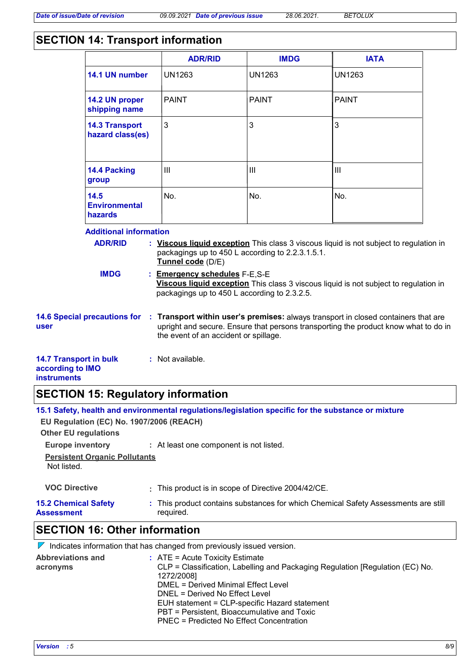## **SECTION 14: Transport information**

|                                                                                                                                                                                                                                                                                                                                                                                                            |                                           | <b>ADR/RID</b>                                                                                                                                                                                                     | <b>IMDG</b>   | <b>IATA</b>   |  |
|------------------------------------------------------------------------------------------------------------------------------------------------------------------------------------------------------------------------------------------------------------------------------------------------------------------------------------------------------------------------------------------------------------|-------------------------------------------|--------------------------------------------------------------------------------------------------------------------------------------------------------------------------------------------------------------------|---------------|---------------|--|
|                                                                                                                                                                                                                                                                                                                                                                                                            | 14.1 UN number                            | <b>UN1263</b>                                                                                                                                                                                                      | <b>UN1263</b> | <b>UN1263</b> |  |
|                                                                                                                                                                                                                                                                                                                                                                                                            | 14.2 UN proper<br>shipping name           | <b>PAINT</b>                                                                                                                                                                                                       | <b>PAINT</b>  | <b>PAINT</b>  |  |
|                                                                                                                                                                                                                                                                                                                                                                                                            | <b>14.3 Transport</b><br>hazard class(es) | 3                                                                                                                                                                                                                  | 3             | 3             |  |
|                                                                                                                                                                                                                                                                                                                                                                                                            | 14.4 Packing<br>group                     | III                                                                                                                                                                                                                | III           | III           |  |
|                                                                                                                                                                                                                                                                                                                                                                                                            | 14.5<br><b>Environmental</b><br>hazards   | No.                                                                                                                                                                                                                | No.           | No.           |  |
| <b>Additional information</b><br><b>ADR/RID</b><br>: Viscous liquid exception This class 3 viscous liquid is not subject to regulation in<br>packagings up to 450 L according to 2.2.3.1.5.1.<br>Tunnel code (D/E)<br><b>IMDG</b><br>: Emergency schedules F-E,S-E<br>Viscous liquid exception This class 3 viscous liquid is not subject to regulation in<br>packagings up to 450 L according to 2.3.2.5. |                                           |                                                                                                                                                                                                                    |               |               |  |
| <b>14.6 Special precautions for</b><br>user                                                                                                                                                                                                                                                                                                                                                                |                                           | : Transport within user's premises: always transport in closed containers that are<br>upright and secure. Ensure that persons transporting the product know what to do in<br>the event of an accident or spillage. |               |               |  |
| <b>14.7 Transport in bulk</b><br>according to IMO<br><b>instruments</b>                                                                                                                                                                                                                                                                                                                                    |                                           | : Not available.                                                                                                                                                                                                   |               |               |  |

# **SECTION 15: Regulatory information**

| CECTION 16. Other information                                           |                                                                                                     |  |  |
|-------------------------------------------------------------------------|-----------------------------------------------------------------------------------------------------|--|--|
| <b>15.2 Chemical Safety</b><br><b>Assessment</b>                        | : This product contains substances for which Chemical Safety Assessments are still<br>required.     |  |  |
| <b>VOC Directive</b>                                                    | : This product is in scope of Directive 2004/42/CE.                                                 |  |  |
| <b>Persistent Organic Pollutants</b><br>Not listed.                     |                                                                                                     |  |  |
| <b>Europe inventory</b>                                                 | : At least one component is not listed.                                                             |  |  |
| EU Regulation (EC) No. 1907/2006 (REACH)<br><b>Other EU regulations</b> |                                                                                                     |  |  |
|                                                                         | 15.1 Safety, health and environmental regulations/legislation specific for the substance or mixture |  |  |

### **SECTION 16: Other information**

|                                      | $\mathbb V$ Indicates information that has changed from previously issued version.                                                                                                                                                                                                                                                                             |
|--------------------------------------|----------------------------------------------------------------------------------------------------------------------------------------------------------------------------------------------------------------------------------------------------------------------------------------------------------------------------------------------------------------|
| <b>Abbreviations and</b><br>acronyms | $\therefore$ ATE = Acute Toxicity Estimate<br>CLP = Classification, Labelling and Packaging Regulation [Regulation (EC) No.<br>1272/2008]<br>DMEL = Derived Minimal Effect Level<br>DNEL = Derived No Effect Level<br>EUH statement = CLP-specific Hazard statement<br>PBT = Persistent, Bioaccumulative and Toxic<br>PNEC = Predicted No Effect Concentration |